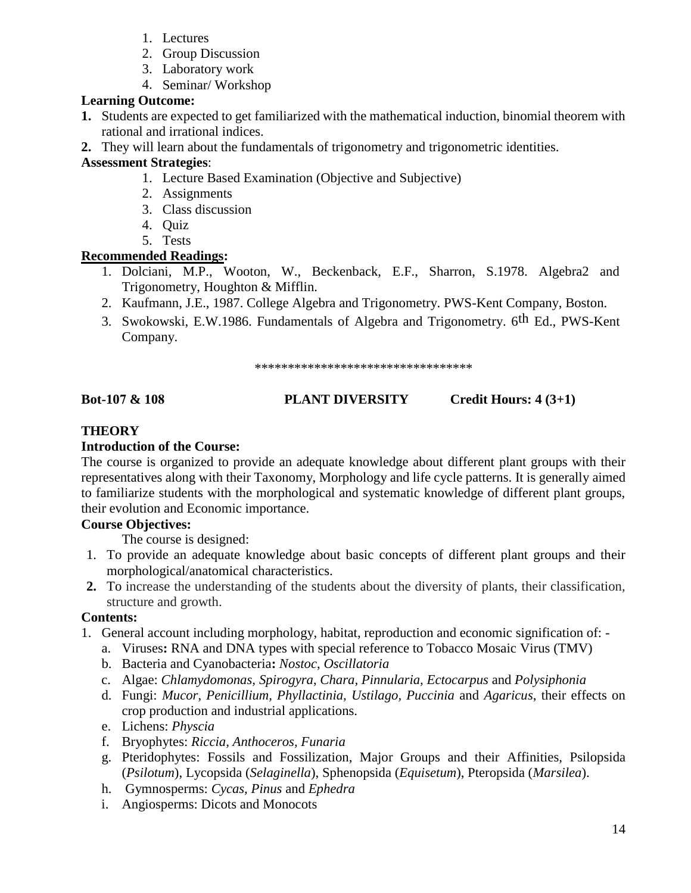**Bot-107 & 108 PLANT DIVERSITY Credit Hours: 4 (3+1)** 

#### **THEORY**

#### **Introduction of the Course:**

The course is organized to provide an adequate knowledge about different plant groups with their representatives along with their Taxonomy, Morphology and life cycle patterns. It is generally aimed to familiarize students with the morphological and systematic knowledge of different plant groups, their evolution and Economic importance.

#### **Course Objectives:**

The course is designed:

- 1. To provide an adequate knowledge about basic concepts of different plant groups and their morphological/anatomical characteristics.
- **2.** To increase the understanding of the students about the diversity of plants, their classification, structure and growth.

#### **Contents:**

- 1. General account including morphology, habitat, reproduction and economic signification of:
	- a. Viruses**:** RNA and DNA types with special reference to Tobacco Mosaic Virus (TMV)
	- b. Bacteria and Cyanobacteria**:** *Nostoc*, *Oscillatoria*
	- c. Algae: *Chlamydomonas, Spirogyra*, *Chara, Pinnularia, Ectocarpus* and *Polysiphonia*
	- d. Fungi: *Mucor*, *Penicillium, Phyllactinia, Ustilago, Puccinia* and *Agaricus*, their effects on crop production and industrial applications.
	- e. Lichens: *Physcia*
	- f. Bryophytes: *Riccia, Anthoceros, Funaria*
	- g. Pteridophytes: Fossils and Fossilization, Major Groups and their Affinities, Psilopsida (*Psilotum*), Lycopsida (*Selaginella*), Sphenopsida (*Equisetum*), Pteropsida (*Marsilea*).
	- h. Gymnosperms: *Cycas, Pinus* and *Ephedra*
	- i. Angiosperms: Dicots and Monocots